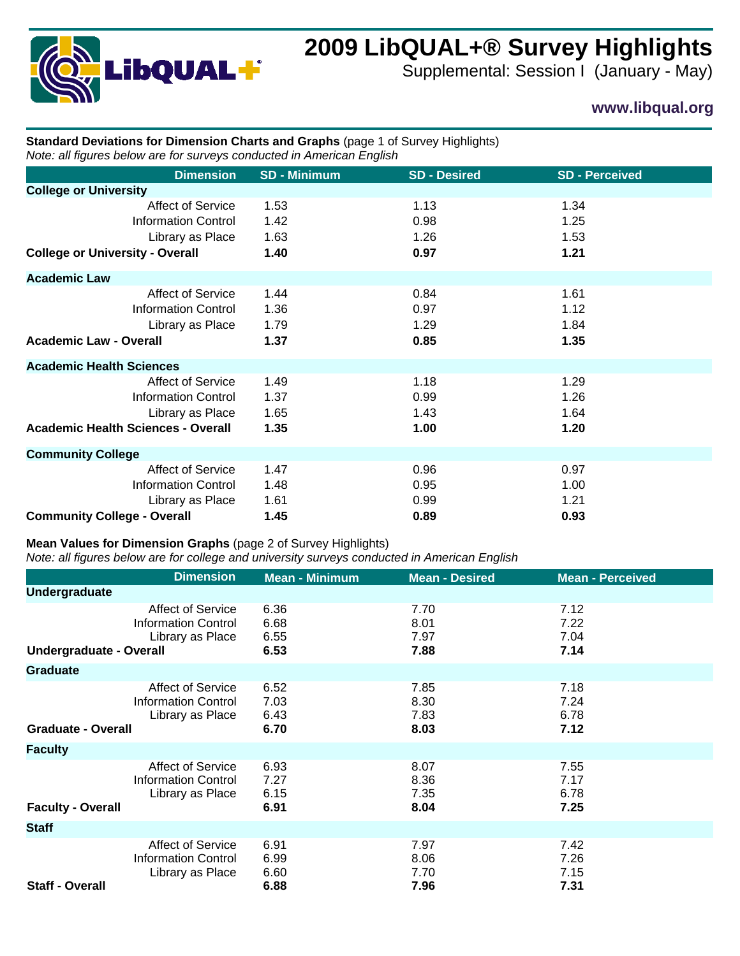

# **2009 LibQUAL+® Survey Highlights**

Supplemental: Session I (January - May)

## **www.libqual.org**

### **Standard Deviations for Dimension Charts and Graphs** (page 1 of Survey Highlights) *Note: all figures below are for surveys conducted in American English*

| <b>Dimension</b>                          | <b>SD - Minimum</b> | <b>SD - Desired</b> | <b>SD - Perceived</b> |
|-------------------------------------------|---------------------|---------------------|-----------------------|
| <b>College or University</b>              |                     |                     |                       |
| <b>Affect of Service</b>                  | 1.53                | 1.13                | 1.34                  |
| <b>Information Control</b>                | 1.42                | 0.98                | 1.25                  |
| Library as Place                          | 1.63                | 1.26                | 1.53                  |
| <b>College or University - Overall</b>    | 1.40                | 0.97                | 1.21                  |
| <b>Academic Law</b>                       |                     |                     |                       |
| <b>Affect of Service</b>                  | 1.44                | 0.84                | 1.61                  |
| <b>Information Control</b>                | 1.36                | 0.97                | 1.12                  |
| Library as Place                          | 1.79                | 1.29                | 1.84                  |
| <b>Academic Law - Overall</b>             | 1.37                | 0.85                | 1.35                  |
| <b>Academic Health Sciences</b>           |                     |                     |                       |
| Affect of Service                         | 1.49                | 1.18                | 1.29                  |
| <b>Information Control</b>                | 1.37                | 0.99                | 1.26                  |
| Library as Place                          | 1.65                | 1.43                | 1.64                  |
| <b>Academic Health Sciences - Overall</b> | 1.35                | 1.00                | 1.20                  |
| <b>Community College</b>                  |                     |                     |                       |
| <b>Affect of Service</b>                  | 1.47                | 0.96                | 0.97                  |
| <b>Information Control</b>                | 1.48                | 0.95                | 1.00                  |
| Library as Place                          | 1.61                | 0.99                | 1.21                  |
| <b>Community College - Overall</b>        | 1.45                | 0.89                | 0.93                  |

#### **Mean Values for Dimension Graphs** (page 2 of Survey Highlights)

*Note: all figures below are for college and university surveys conducted in American English*

|                                | <b>Dimension</b>                                                           | <b>Mean - Minimum</b>        | <b>Mean - Desired</b>        | <b>Mean - Perceived</b>      |
|--------------------------------|----------------------------------------------------------------------------|------------------------------|------------------------------|------------------------------|
| <b>Undergraduate</b>           |                                                                            |                              |                              |                              |
| <b>Undergraduate - Overall</b> | <b>Affect of Service</b><br><b>Information Control</b><br>Library as Place | 6.36<br>6.68<br>6.55<br>6.53 | 7.70<br>8.01<br>7.97<br>7.88 | 7.12<br>7.22<br>7.04<br>7.14 |
| <b>Graduate</b>                |                                                                            |                              |                              |                              |
| <b>Graduate - Overall</b>      | <b>Affect of Service</b><br><b>Information Control</b><br>Library as Place | 6.52<br>7.03<br>6.43<br>6.70 | 7.85<br>8.30<br>7.83<br>8.03 | 7.18<br>7.24<br>6.78<br>7.12 |
| <b>Faculty</b>                 |                                                                            |                              |                              |                              |
| <b>Faculty - Overall</b>       | <b>Affect of Service</b><br><b>Information Control</b><br>Library as Place | 6.93<br>7.27<br>6.15<br>6.91 | 8.07<br>8.36<br>7.35<br>8.04 | 7.55<br>7.17<br>6.78<br>7.25 |
| <b>Staff</b>                   |                                                                            |                              |                              |                              |
| <b>Staff - Overall</b>         | <b>Affect of Service</b><br><b>Information Control</b><br>Library as Place | 6.91<br>6.99<br>6.60<br>6.88 | 7.97<br>8.06<br>7.70<br>7.96 | 7.42<br>7.26<br>7.15<br>7.31 |